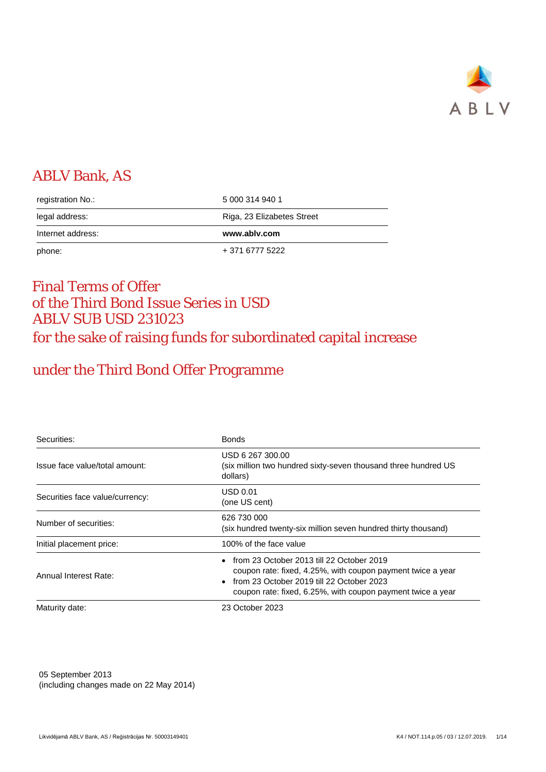

# ABLV Bank, AS

| phone:            | + 371 6777 5222            |
|-------------------|----------------------------|
| Internet address: | www.ablv.com               |
| legal address:    | Riga, 23 Elizabetes Street |
| registration No.: | 5 000 314 940 1            |

## Final Terms of Offer of the Third Bond Issue Series in USD ABLV SUB USD 231023 for the sake of raising funds for subordinated capital increase

# under the Third Bond Offer Programme

| Securities:                     | <b>Bonds</b>                                                                                                                                                                                                             |  |  |
|---------------------------------|--------------------------------------------------------------------------------------------------------------------------------------------------------------------------------------------------------------------------|--|--|
| Issue face value/total amount:  | USD 6 267 300.00<br>(six million two hundred sixty-seven thousand three hundred US<br>dollars)                                                                                                                           |  |  |
| Securities face value/currency: | USD 0.01<br>(one US cent)                                                                                                                                                                                                |  |  |
| Number of securities:           | 626 730 000<br>(six hundred twenty-six million seven hundred thirty thousand)                                                                                                                                            |  |  |
| Initial placement price:        | 100% of the face value                                                                                                                                                                                                   |  |  |
| Annual Interest Rate:           | • from 23 October 2013 till 22 October 2019<br>coupon rate: fixed, 4.25%, with coupon payment twice a year<br>• from 23 October 2019 till 22 October 2023<br>coupon rate: fixed, 6.25%, with coupon payment twice a year |  |  |
| Maturity date:                  | 23 October 2023                                                                                                                                                                                                          |  |  |

05 September 2013 (including changes made on 22 May 2014)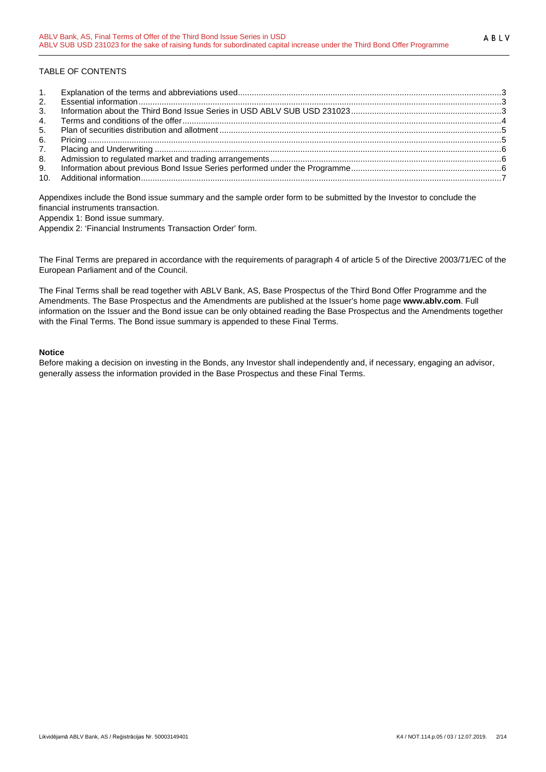## TABLE OF CONTENTS

| 2. |  |
|----|--|
| 3. |  |
| 4. |  |
| 5. |  |
| 6. |  |
| 7. |  |
| 8. |  |
| 9. |  |
|    |  |

Appendixes include the Bond issue summary and the sample order form to be submitted by the Investor to conclude the financial instruments transaction.

Appendix 1: Bond issue summary.

Appendix 2: 'Financial Instruments Transaction Order' form.

The Final Terms are prepared in accordance with the requirements of paragraph 4 of article 5 of the Directive 2003/71/EC of the European Parliament and of the Council.

The Final Terms shall be read together with ABLV Bank, AS, Base Prospectus of the Third Bond Offer Programme and the Amendments. The Base Prospectus and the Amendments are published at the Issuer's home page **www.ablv.com**. Full information on the Issuer and the Bond issue can be only obtained reading the Base Prospectus and the Amendments together with the Final Terms. The Bond issue summary is appended to these Final Terms.

## **Notice**

Before making a decision on investing in the Bonds, any Investor shall independently and, if necessary, engaging an advisor, generally assess the information provided in the Base Prospectus and these Final Terms.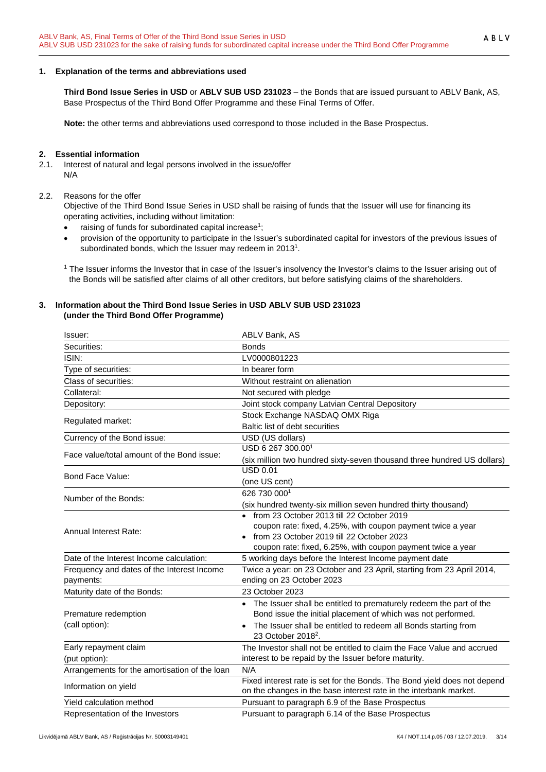### <span id="page-2-0"></span>**1. Explanation of the terms and abbreviations used**

**Third Bond Issue Series in USD** or **ABLV SUB USD 231023** – the Bonds that are issued pursuant to ABLV Bank, AS, Base Prospectus of the Third Bond Offer Programme and these Final Terms of Offer.

**Note:** the other terms and abbreviations used correspond to those included in the Base Prospectus.

## <span id="page-2-1"></span>**2. Essential information**

- 2.1. Interest of natural and legal persons involved in the issue/offer N/A
- 2.2. Reasons for the offer

Objective of the Third Bond Issue Series in USD shall be raising of funds that the Issuer will use for financing its operating activities, including without limitation:

- raising of funds for subordinated capital increase<sup>1</sup>;
- provision of the opportunity to participate in the Issuer's subordinated capital for investors of the previous issues of subordinated bonds, which the Issuer may redeem in 20131.

<sup>1</sup> The Issuer informs the Investor that in case of the Issuer's insolvency the Investor's claims to the Issuer arising out of the Bonds will be satisfied after claims of all other creditors, but before satisfying claims of the shareholders.

### <span id="page-2-2"></span>**3. Information about the Third Bond Issue Series in USD ABLV SUB USD 231023 (under the Third Bond Offer Programme)**

| Issuer:                                                 | ABLV Bank, AS                                                                                                                                 |
|---------------------------------------------------------|-----------------------------------------------------------------------------------------------------------------------------------------------|
| Securities:                                             | <b>Bonds</b>                                                                                                                                  |
| ISIN:                                                   | LV0000801223                                                                                                                                  |
| Type of securities:                                     | In bearer form                                                                                                                                |
| Class of securities:                                    | Without restraint on alienation                                                                                                               |
| Collateral:                                             | Not secured with pledge                                                                                                                       |
| Depository:                                             | Joint stock company Latvian Central Depository                                                                                                |
|                                                         | Stock Exchange NASDAQ OMX Riga                                                                                                                |
| Regulated market:                                       | Baltic list of debt securities                                                                                                                |
| Currency of the Bond issue:                             | USD (US dollars)                                                                                                                              |
| Face value/total amount of the Bond issue:              | USD 6 267 300.001                                                                                                                             |
|                                                         | (six million two hundred sixty-seven thousand three hundred US dollars)                                                                       |
| Bond Face Value:                                        | <b>USD 0.01</b>                                                                                                                               |
|                                                         | (one US cent)                                                                                                                                 |
| Number of the Bonds:                                    | 626 730 0001                                                                                                                                  |
|                                                         | (six hundred twenty-six million seven hundred thirty thousand)                                                                                |
|                                                         | • from 23 October 2013 till 22 October 2019                                                                                                   |
| <b>Annual Interest Rate:</b>                            | coupon rate: fixed, 4.25%, with coupon payment twice a year                                                                                   |
|                                                         | from 23 October 2019 till 22 October 2023                                                                                                     |
|                                                         | coupon rate: fixed, 6.25%, with coupon payment twice a year                                                                                   |
| Date of the Interest Income calculation:                | 5 working days before the Interest Income payment date                                                                                        |
| Frequency and dates of the Interest Income<br>payments: | Twice a year: on 23 October and 23 April, starting from 23 April 2014,<br>ending on 23 October 2023                                           |
| Maturity date of the Bonds:                             | 23 October 2023                                                                                                                               |
|                                                         | • The Issuer shall be entitled to prematurely redeem the part of the                                                                          |
| Premature redemption                                    | Bond issue the initial placement of which was not performed.                                                                                  |
| (call option):                                          | The Issuer shall be entitled to redeem all Bonds starting from                                                                                |
| Early repayment claim                                   | 23 October 2018 <sup>2</sup> .<br>The Investor shall not be entitled to claim the Face Value and accrued                                      |
| (put option):                                           | interest to be repaid by the Issuer before maturity.                                                                                          |
| Arrangements for the amortisation of the loan           | N/A                                                                                                                                           |
| Information on yield                                    | Fixed interest rate is set for the Bonds. The Bond yield does not depend<br>on the changes in the base interest rate in the interbank market. |
| Yield calculation method                                | Pursuant to paragraph 6.9 of the Base Prospectus                                                                                              |
| Representation of the Investors                         | Pursuant to paragraph 6.14 of the Base Prospectus                                                                                             |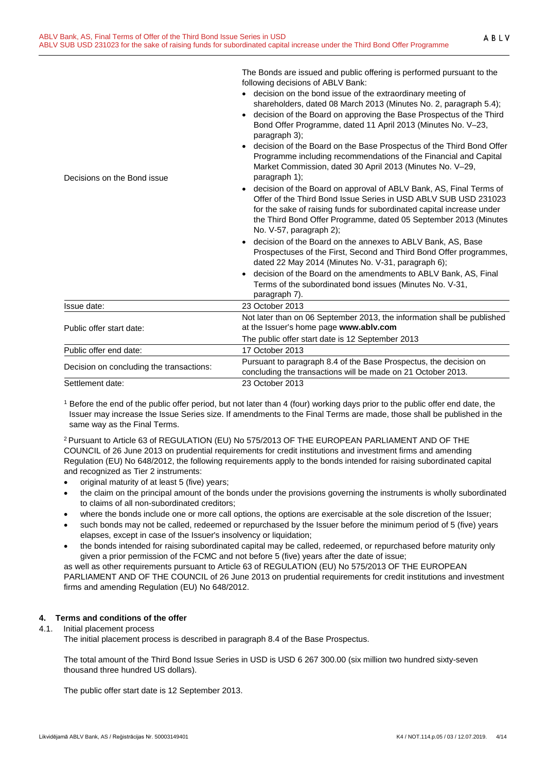ABLV

|                                          | The Bonds are issued and public offering is performed pursuant to the<br>following decisions of ABLV Bank:<br>• decision on the bond issue of the extraordinary meeting of<br>shareholders, dated 08 March 2013 (Minutes No. 2, paragraph 5.4);<br>decision of the Board on approving the Base Prospectus of the Third<br>Bond Offer Programme, dated 11 April 2013 (Minutes No. V-23,<br>paragraph 3); |
|------------------------------------------|---------------------------------------------------------------------------------------------------------------------------------------------------------------------------------------------------------------------------------------------------------------------------------------------------------------------------------------------------------------------------------------------------------|
| Decisions on the Bond issue              | decision of the Board on the Base Prospectus of the Third Bond Offer<br>$\bullet$<br>Programme including recommendations of the Financial and Capital<br>Market Commission, dated 30 April 2013 (Minutes No. V-29,<br>paragraph 1);                                                                                                                                                                     |
|                                          | decision of the Board on approval of ABLV Bank, AS, Final Terms of<br>$\bullet$<br>Offer of the Third Bond Issue Series in USD ABLV SUB USD 231023<br>for the sake of raising funds for subordinated capital increase under<br>the Third Bond Offer Programme, dated 05 September 2013 (Minutes<br>No. V-57, paragraph 2);                                                                              |
|                                          | decision of the Board on the annexes to ABLV Bank, AS, Base<br>$\bullet$<br>Prospectuses of the First, Second and Third Bond Offer programmes,<br>dated 22 May 2014 (Minutes No. V-31, paragraph 6);                                                                                                                                                                                                    |
|                                          | decision of the Board on the amendments to ABLV Bank, AS, Final<br>Terms of the subordinated bond issues (Minutes No. V-31,<br>paragraph 7).                                                                                                                                                                                                                                                            |
| Issue date:                              | 23 October 2013                                                                                                                                                                                                                                                                                                                                                                                         |
| Public offer start date:                 | Not later than on 06 September 2013, the information shall be published<br>at the Issuer's home page www.ablv.com                                                                                                                                                                                                                                                                                       |
|                                          | The public offer start date is 12 September 2013                                                                                                                                                                                                                                                                                                                                                        |
| Public offer end date:                   | 17 October 2013                                                                                                                                                                                                                                                                                                                                                                                         |
| Decision on concluding the transactions: | Pursuant to paragraph 8.4 of the Base Prospectus, the decision on<br>concluding the transactions will be made on 21 October 2013.                                                                                                                                                                                                                                                                       |
| Settlement date:                         | 23 October 2013                                                                                                                                                                                                                                                                                                                                                                                         |

<sup>1</sup> Before the end of the public offer period, but not later than 4 (four) working days prior to the public offer end date, the Issuer may increase the Issue Series size. If amendments to the Final Terms are made, those shall be published in the same way as the Final Terms.

2 Pursuant to Article 63 of REGULATION (EU) No 575/2013 OF THE EUROPEAN PARLIAMENT AND OF THE COUNCIL of 26 June 2013 on prudential requirements for credit institutions and investment firms and amending Regulation (EU) No 648/2012, the following requirements apply to the bonds intended for raising subordinated capital and recognized as Tier 2 instruments:

- original maturity of at least 5 (five) years;
- the claim on the principal amount of the bonds under the provisions governing the instruments is wholly subordinated to claims of all non-subordinated creditors;
- where the bonds include one or more call options, the options are exercisable at the sole discretion of the Issuer;
- such bonds may not be called, redeemed or repurchased by the Issuer before the minimum period of 5 (five) years elapses, except in case of the Issuer's insolvency or liquidation;
- the bonds intended for raising subordinated capital may be called, redeemed, or repurchased before maturity only given a prior permission of the FCMC and not before 5 (five) years after the date of issue;

as well as other requirements pursuant to Article 63 of REGULATION (EU) No 575/2013 OF THE EUROPEAN PARLIAMENT AND OF THE COUNCIL of 26 June 2013 on prudential requirements for credit institutions and investment firms and amending Regulation (EU) No 648/2012.

## <span id="page-3-0"></span>**4. Terms and conditions of the offer**

4.1. Initial placement process

The initial placement process is described in paragraph 8.4 of the Base Prospectus.

The total amount of the Third Bond Issue Series in USD is USD 6 267 300.00 (six million two hundred sixty-seven thousand three hundred US dollars).

The public offer start date is 12 September 2013.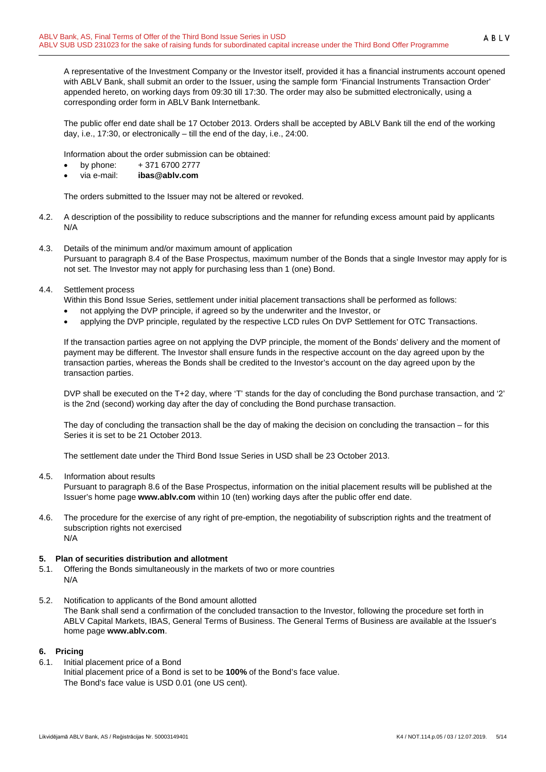A representative of the Investment Company or the Investor itself, provided it has a financial instruments account opened with ABLV Bank, shall submit an order to the Issuer, using the sample form 'Financial Instruments Transaction Order' appended hereto, on working days from 09:30 till 17:30. The order may also be submitted electronically, using a corresponding order form in ABLV Bank Internetbank.

The public offer end date shall be 17 October 2013. Orders shall be accepted by ABLV Bank till the end of the working day, i.e., 17:30, or electronically – till the end of the day, i.e., 24:00.

Information about the order submission can be obtained:

- by phone:  $+371\,6700\,2777$
- via e-mail: **ibas@ablv.com**

The orders submitted to the Issuer may not be altered or revoked.

- 4.2. A description of the possibility to reduce subscriptions and the manner for refunding excess amount paid by applicants N/A
- 4.3. Details of the minimum and/or maximum amount of application Pursuant to paragraph 8.4 of the Base Prospectus, maximum number of the Bonds that a single Investor may apply for is not set. The Investor may not apply for purchasing less than 1 (one) Bond.
- 4.4. Settlement process

Within this Bond Issue Series, settlement under initial placement transactions shall be performed as follows:

- not applying the DVP principle, if agreed so by the underwriter and the Investor, or
- applying the DVP principle, regulated by the respective LCD rules On DVP Settlement for OTC Transactions.

If the transaction parties agree on not applying the DVP principle, the moment of the Bonds' delivery and the moment of payment may be different. The Investor shall ensure funds in the respective account on the day agreed upon by the transaction parties, whereas the Bonds shall be credited to the Investor's account on the day agreed upon by the transaction parties.

DVP shall be executed on the T+2 day, where 'T' stands for the day of concluding the Bond purchase transaction, and '2' is the 2nd (second) working day after the day of concluding the Bond purchase transaction.

The day of concluding the transaction shall be the day of making the decision on concluding the transaction – for this Series it is set to be 21 October 2013.

The settlement date under the Third Bond Issue Series in USD shall be 23 October 2013.

4.5. Information about results

Pursuant to paragraph 8.6 of the Base Prospectus, information on the initial placement results will be published at the Issuer's home page **www.ablv.com** within 10 (ten) working days after the public offer end date.

4.6. The procedure for the exercise of any right of pre-emption, the negotiability of subscription rights and the treatment of subscription rights not exercised N/A

#### <span id="page-4-0"></span>**5. Plan of securities distribution and allotment**

- 5.1. Offering the Bonds simultaneously in the markets of two or more countries N/A
- 5.2. Notification to applicants of the Bond amount allotted The Bank shall send a confirmation of the concluded transaction to the Investor, following the procedure set forth in ABLV Capital Markets, IBAS, General Terms of Business. The General Terms of Business are available at the Issuer's home page **[www.ablv.com](http://www.ablv.com/)**.

#### <span id="page-4-1"></span>**6. Pricing**

6.1. Initial placement price of a Bond Initial placement price of a Bond is set to be **100%** of the Bond's face value. The Bond's face value is USD 0.01 (one US cent).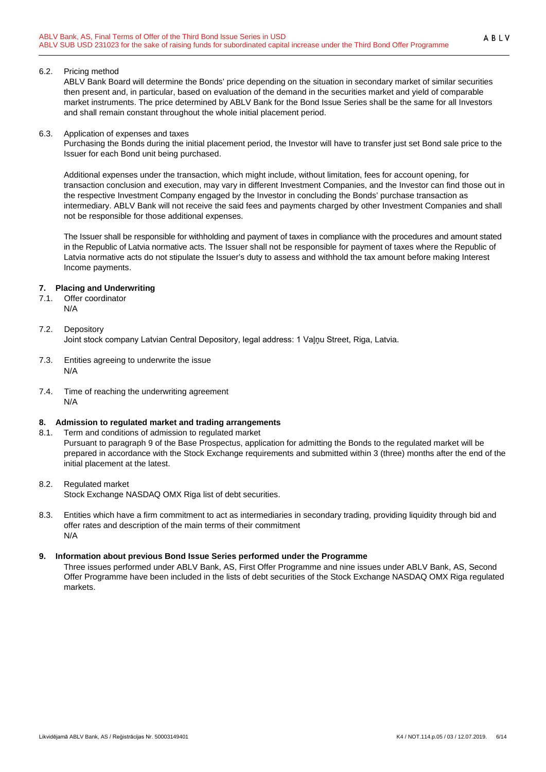#### 6.2. Pricing method

ABLV Bank Board will determine the Bonds' price depending on the situation in secondary market of similar securities then present and, in particular, based on evaluation of the demand in the securities market and yield of comparable market instruments. The price determined by ABLV Bank for the Bond Issue Series shall be the same for all Investors and shall remain constant throughout the whole initial placement period.

#### 6.3. Application of expenses and taxes

Purchasing the Bonds during the initial placement period, the Investor will have to transfer just set Bond sale price to the Issuer for each Bond unit being purchased.

Additional expenses under the transaction, which might include, without limitation, fees for account opening, for transaction conclusion and execution, may vary in different Investment Companies, and the Investor can find those out in the respective Investment Company engaged by the Investor in concluding the Bonds' purchase transaction as intermediary. ABLV Bank will not receive the said fees and payments charged by other Investment Companies and shall not be responsible for those additional expenses.

The Issuer shall be responsible for withholding and payment of taxes in compliance with the procedures and amount stated in the Republic of Latvia normative acts. The Issuer shall not be responsible for payment of taxes where the Republic of Latvia normative acts do not stipulate the Issuer's duty to assess and withhold the tax amount before making Interest Income payments.

#### <span id="page-5-0"></span>**7. Placing and Underwriting**

7.1. Offer coordinator N/A

## 7.2. Depository

Joint stock company Latvian Central Depository, legal address: 1 Vaļņu Street, Riga, Latvia.

- 7.3. Entities agreeing to underwrite the issue N/A
- 7.4. Time of reaching the underwriting agreement N/A

## <span id="page-5-1"></span>**8. Admission to regulated market and trading arrangements**

8.1. Term and conditions of admission to regulated market Pursuant to paragraph 9 of the Base Prospectus, application for admitting the Bonds to the regulated market will be prepared in accordance with the Stock Exchange requirements and submitted within 3 (three) months after the end of the initial placement at the latest.

#### 8.2. Regulated market

Stock Exchange NASDAQ OMX Riga list of debt securities.

8.3. Entities which have a firm commitment to act as intermediaries in secondary trading, providing liquidity through bid and offer rates and description of the main terms of their commitment N/A

#### <span id="page-5-2"></span>**9. Information about previous Bond Issue Series performed under the Programme**

Three issues performed under ABLV Bank, AS, First Offer Programme and nine issues under ABLV Bank, AS, Second Offer Programme have been included in the lists of debt securities of the Stock Exchange NASDAQ OMX Riga regulated markets.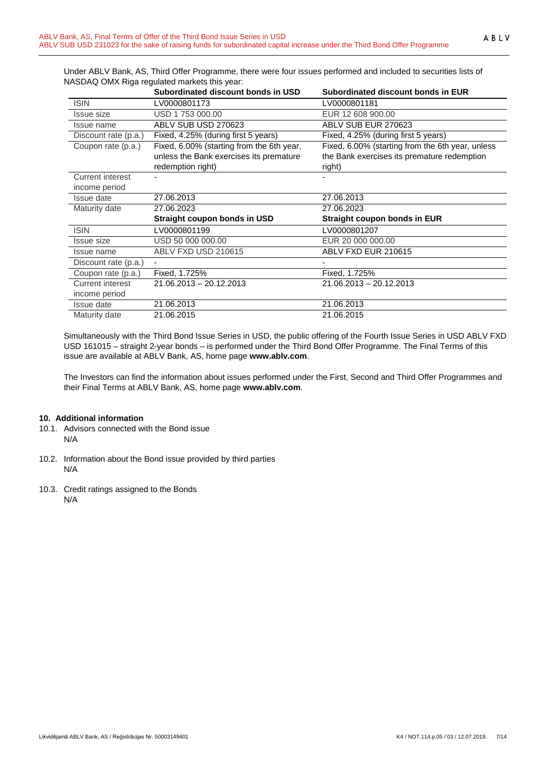Under ABLV Bank, AS, Third Offer Programme, there were four issues performed and included to securities lists of NASDAQ OMX Riga regulated markets this year:

|                         | Subordinated discount bonds in USD        | Subordinated discount bonds in EUR               |
|-------------------------|-------------------------------------------|--------------------------------------------------|
| <b>ISIN</b>             | LV0000801173                              | LV0000801181                                     |
| <b>Issue size</b>       | USD 1753 000.00                           | EUR 12 608 900.00                                |
| Issue name              | ABLV SUB USD 270623                       | ABLV SUB EUR 270623                              |
| Discount rate (p.a.)    | Fixed, 4.25% (during first 5 years)       | Fixed, 4.25% (during first 5 years)              |
| Coupon rate (p.a.)      | Fixed, 6.00% (starting from the 6th year, | Fixed, 6.00% (starting from the 6th year, unless |
|                         | unless the Bank exercises its premature   | the Bank exercises its premature redemption      |
|                         | redemption right)                         | right)                                           |
| <b>Current interest</b> |                                           |                                                  |
| income period           |                                           |                                                  |
| Issue date              | 27.06.2013                                | 27.06.2013                                       |
| Maturity date           | 27.06.2023                                | 27.06.2023                                       |
|                         | Straight coupon bonds in USD              | <b>Straight coupon bonds in EUR</b>              |
| <b>ISIN</b>             | LV0000801199                              | LV0000801207                                     |
| <b>Issue size</b>       | USD 50 000 000.00                         | EUR 20 000 000,00                                |
| Issue name              | ABLV FXD USD 210615                       | ABLV FXD EUR 210615                              |
| Discount rate (p.a.)    | ٠                                         |                                                  |
| Coupon rate (p.a.)      | Fixed, 1.725%                             | Fixed, 1.725%                                    |
| Current interest        | 21.06.2013 - 20.12.2013                   | 21.06.2013 - 20.12.2013                          |
| income period           |                                           |                                                  |
| Issue date              | 21.06.2013                                | 21.06.2013                                       |
| Maturity date           | 21.06.2015                                | 21.06.2015                                       |

Simultaneously with the Third Bond Issue Series in USD, the public offering of the Fourth Issue Series in USD ABLV FXD USD 161015 – straight 2-year bonds – is performed under the Third Bond Offer Programme. The Final Terms of this issue are available at ABLV Bank, AS, home page **[www.ablv.com](http://www.ablv.com/)**.

The Investors can find the information about issues performed under the First, Second and Third Offer Programmes and their Final Terms at ABLV Bank, AS, home page **[www.ablv.com](http://www.ablv.com/)**.

#### <span id="page-6-0"></span>**10. Additional information**

- 10.1. Advisors connected with the Bond issue N/A
- 10.2. Information about the Bond issue provided by third parties N/A
- 10.3. Credit ratings assigned to the Bonds N/A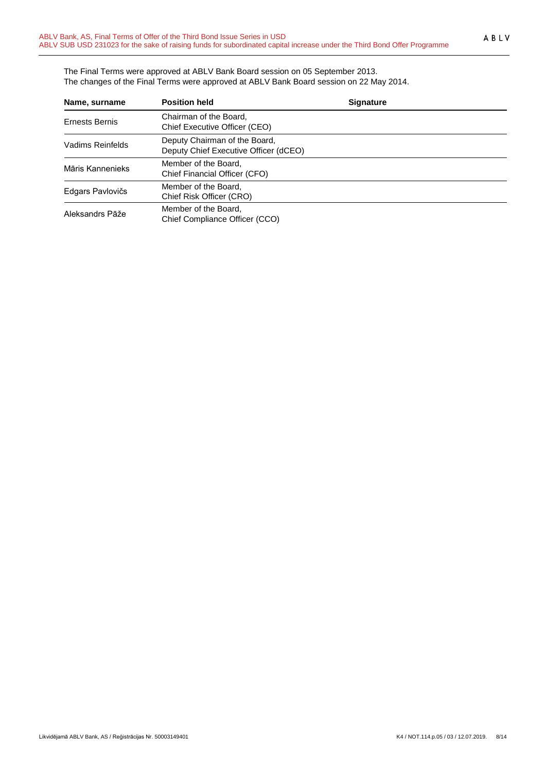The Final Terms were approved at ABLV Bank Board session on 05 September 2013. The changes of the Final Terms were approved at ABLV Bank Board session on 22 May 2014.

| Name, surname         | <b>Position held</b>                                                   | <b>Signature</b> |  |
|-----------------------|------------------------------------------------------------------------|------------------|--|
| <b>Ernests Bernis</b> | Chairman of the Board,<br>Chief Executive Officer (CEO)                |                  |  |
| Vadims Reinfelds      | Deputy Chairman of the Board,<br>Deputy Chief Executive Officer (dCEO) |                  |  |
| Māris Kannenieks      | Member of the Board,<br>Chief Financial Officer (CFO)                  |                  |  |
| Edgars Pavlovičs      | Member of the Board,<br>Chief Risk Officer (CRO)                       |                  |  |
| Aleksandrs Pāže       | Member of the Board,<br>Chief Compliance Officer (CCO)                 |                  |  |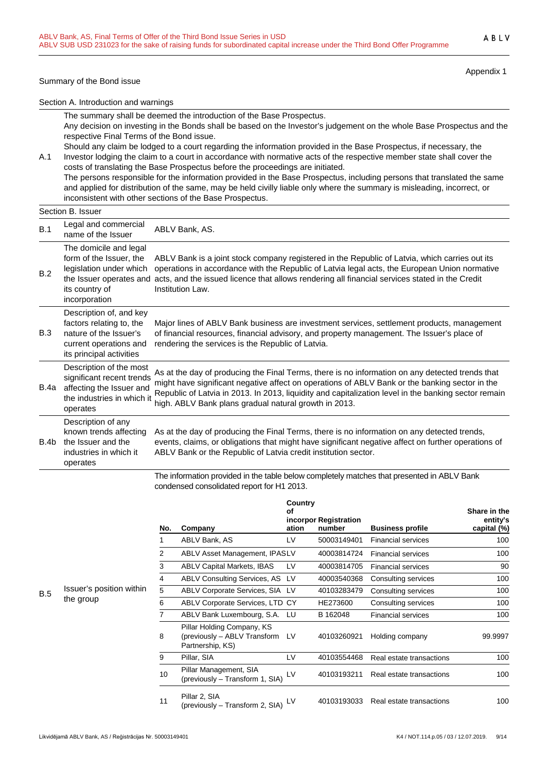#### Summary of the Bond issue

Appendix 1

Section A. Introduction and warnings

The summary shall be deemed the introduction of the Base Prospectus.

Any decision on investing in the Bonds shall be based on the Investor's judgement on the whole Base Prospectus and the respective Final Terms of the Bond issue.

A.1 Should any claim be lodged to a court regarding the information provided in the Base Prospectus, if necessary, the Investor lodging the claim to a court in accordance with normative acts of the respective member state shall cover the costs of translating the Base Prospectus before the proceedings are initiated.

The persons responsible for the information provided in the Base Prospectus, including persons that translated the same and applied for distribution of the same, may be held civilly liable only where the summary is misleading, incorrect, or inconsistent with other sections of the Base Prospectus.

#### Section B. Issuer

| B.1  | Legal and commercial<br>name of the Issuer                                                                                                 | ABLV Bank, AS.                                                                                                                                                                                                                                                                                                                                                     |
|------|--------------------------------------------------------------------------------------------------------------------------------------------|--------------------------------------------------------------------------------------------------------------------------------------------------------------------------------------------------------------------------------------------------------------------------------------------------------------------------------------------------------------------|
| B.2  | The domicile and legal<br>form of the Issuer, the<br>legislation under which<br>the Issuer operates and<br>its country of<br>incorporation | ABLV Bank is a joint stock company registered in the Republic of Latvia, which carries out its<br>operations in accordance with the Republic of Latvia legal acts, the European Union normative<br>acts, and the issued licence that allows rendering all financial services stated in the Credit<br>Institution Law.                                              |
| B.3  | Description of, and key<br>factors relating to, the<br>nature of the Issuer's<br>current operations and<br>its principal activities        | Major lines of ABLV Bank business are investment services, settlement products, management<br>of financial resources, financial advisory, and property management. The Issuer's place of<br>rendering the services is the Republic of Latvia.                                                                                                                      |
| B.4a | Description of the most<br>significant recent trends<br>affecting the Issuer and<br>the industries in which it<br>operates                 | As at the day of producing the Final Terms, there is no information on any detected trends that<br>might have significant negative affect on operations of ABLV Bank or the banking sector in the<br>Republic of Latvia in 2013. In 2013, liquidity and capitalization level in the banking sector remain<br>high. ABLV Bank plans gradual natural growth in 2013. |
| B.4b | Description of any<br>known trends affecting<br>the Issuer and the<br>industries in which it<br>operates                                   | As at the day of producing the Final Terms, there is no information on any detected trends,<br>events, claims, or obligations that might have significant negative affect on further operations of<br>ABLV Bank or the Republic of Latvia credit institution sector.                                                                                               |
|      |                                                                                                                                            | The information provided in the table below completely matches that presented in ABLV Bank<br>condensed consolidated report for H1 2013.                                                                                                                                                                                                                           |

|     |                                       | No. | Company                                                                           | Country<br>οf<br>ation | incorpor Registration<br>number | <b>Business profile</b>   | Share in the<br>entity's<br>capital (%) |
|-----|---------------------------------------|-----|-----------------------------------------------------------------------------------|------------------------|---------------------------------|---------------------------|-----------------------------------------|
|     |                                       |     | ABLV Bank, AS                                                                     | LV                     | 50003149401                     | <b>Financial services</b> | 100                                     |
|     |                                       | 2   | ABLV Asset Management, IPASLV                                                     |                        | 40003814724                     | <b>Financial services</b> | 100                                     |
|     |                                       | 3   | <b>ABLV Capital Markets, IBAS</b>                                                 | LV                     | 40003814705                     | <b>Financial services</b> | 90                                      |
|     |                                       | 4   | ABLV Consulting Services, AS LV                                                   |                        | 40003540368                     | Consulting services       | 100                                     |
| B.5 | Issuer's position within<br>the group | 5   | ABLV Corporate Services, SIA LV                                                   |                        | 40103283479                     | Consulting services       | 100                                     |
|     |                                       | 6   | ABLV Corporate Services, LTD CY                                                   |                        | HE273600                        | Consulting services       | 100                                     |
|     |                                       |     | ABLV Bank Luxembourg, S.A. LU                                                     |                        | B 162048                        | <b>Financial services</b> | 100                                     |
|     |                                       | 8   | Pillar Holding Company, KS<br>(previously - ABLV Transform LV<br>Partnership, KS) |                        | 40103260921                     | Holding company           | 99.9997                                 |
|     |                                       | 9   | Pillar, SIA                                                                       | LV                     | 40103554468                     | Real estate transactions  | 100                                     |
|     |                                       | 10  | Pillar Management, SIA<br>(previously - Transform 1, SIA)                         | LV                     | 40103193211                     | Real estate transactions  | 100                                     |
|     |                                       | 11  | Pillar 2, SIA<br>(previously - Transform 2, SIA)                                  | LV                     | 40103193033                     | Real estate transactions  | 100                                     |

Likvidējamā ABLV Bank, AS / Reģistrācijas Nr. 50003149401 K4 / NOT.114.p.05 / 03 / 12.07.2019. 9/14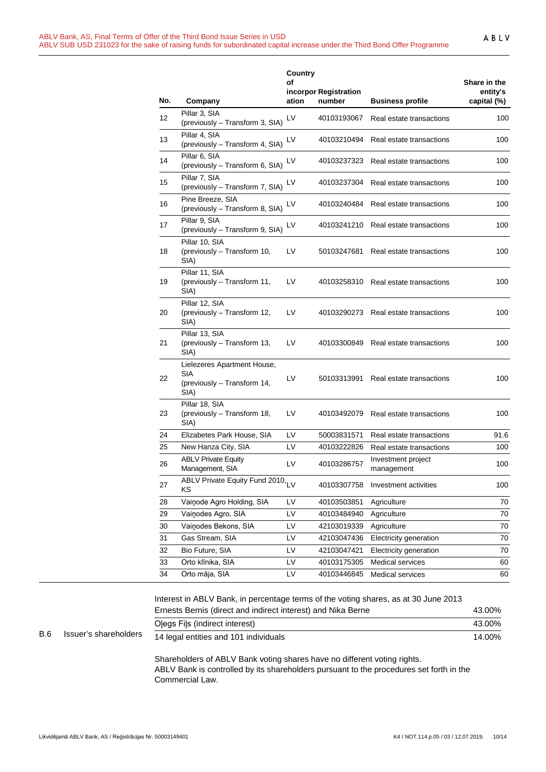|     |                                                                           | Country<br>of | incorpor Registration |                                  | Share in the<br>entity's |
|-----|---------------------------------------------------------------------------|---------------|-----------------------|----------------------------------|--------------------------|
| No. | Company                                                                   | ation         | number                | <b>Business profile</b>          | capital (%)              |
| 12  | Pillar 3, SIA<br>(previously - Transform 3, SIA)                          | LV            | 40103193067           | Real estate transactions         | 100                      |
| 13  | Pillar 4, SIA<br>(previously - Transform 4, SIA)                          | LV            | 40103210494           | Real estate transactions         | 100                      |
| 14  | Pillar 6, SIA<br>(previously - Transform 6, SIA)                          | LV            | 40103237323           | Real estate transactions         | 100                      |
| 15  | Pillar 7, SIA<br>(previously - Transform 7, SIA)                          | LV            | 40103237304           | Real estate transactions         | 100                      |
| 16  | Pine Breeze, SIA<br>(previously - Transform 8, SIA)                       | LV            | 40103240484           | Real estate transactions         | 100                      |
| 17  | Pillar 9, SIA<br>(previously - Transform 9, SIA)                          | LV            | 40103241210           | Real estate transactions         | 100                      |
| 18  | Pillar 10, SIA<br>(previously - Transform 10,<br>SIA)                     | LV            | 50103247681           | Real estate transactions         | 100                      |
| 19  | Pillar 11, SIA<br>(previously - Transform 11,<br>SIA)                     | LV            | 40103258310           | Real estate transactions         | 100                      |
| 20  | Pillar 12, SIA<br>(previously - Transform 12,<br>SIA)                     | LV            | 40103290273           | Real estate transactions         | 100                      |
| 21  | Pillar 13, SIA<br>(previously - Transform 13,<br>SIA)                     | LV            | 40103300849           | Real estate transactions         | 100                      |
| 22  | Lielezeres Apartment House,<br>SIA<br>(previously - Transform 14,<br>SIA) | LV            | 50103313991           | Real estate transactions         | 100                      |
| 23  | Pillar 18, SIA<br>(previously - Transform 18,<br>SIA)                     | LV            | 40103492079           | Real estate transactions         | 100                      |
| 24  | Elizabetes Park House, SIA                                                | LV            | 50003831571           | Real estate transactions         | 91.6                     |
| 25  | New Hanza City, SIA                                                       | LV            | 40103222826           | Real estate transactions         | 100                      |
| 26  | <b>ABLV Private Equity</b><br>Management, SIA                             | LV            | 40103286757           | Investment project<br>management | 100                      |
| 27  | ABLV Private Equity Fund 2010, LV<br>ΚS                                   |               | 40103307758           | Investment activities            | 100                      |
| 28  | Vainode Agro Holding, SIA                                                 | LV            | 40103503851           | Agriculture                      | 70                       |
| 29  | Vainodes Agro, SIA                                                        | LV            | 40103484940           | Agriculture                      | 70                       |
| 30  | Vainodes Bekons, SIA                                                      | LV            | 42103019339           | Agriculture                      | 70                       |
| 31  | Gas Stream, SIA                                                           | LV            | 42103047436           | Electricity generation           | 70                       |
| 32  | Bio Future, SIA                                                           | LV            | 42103047421           | Electricity generation           | 70                       |
| 33  | Orto klīnika, SIA                                                         | LV            | 40103175305           | Medical services                 | 60                       |
| 34  | Orto māja, SIA                                                            | LV            | 40103446845           | Medical services                 | 60                       |

|            |                       | Interest in ABLV Bank, in percentage terms of the voting shares, as at 30 June 2013 |        |
|------------|-----------------------|-------------------------------------------------------------------------------------|--------|
|            |                       | Ernests Bernis (direct and indirect interest) and Nika Berne                        | 43.00% |
|            |                       | Olegs Fils (indirect interest)                                                      | 43.00% |
| <b>B.6</b> | Issuer's shareholders | 14 legal entities and 101 individuals                                               | 14.00% |
|            |                       | Shareholders of ABLV Bank voting shares have no different voting rights             |        |

Shareholders of ABLV Bank voting shares have no different voting rights. ABLV Bank is controlled by its shareholders pursuant to the procedures set forth in the Commercial Law.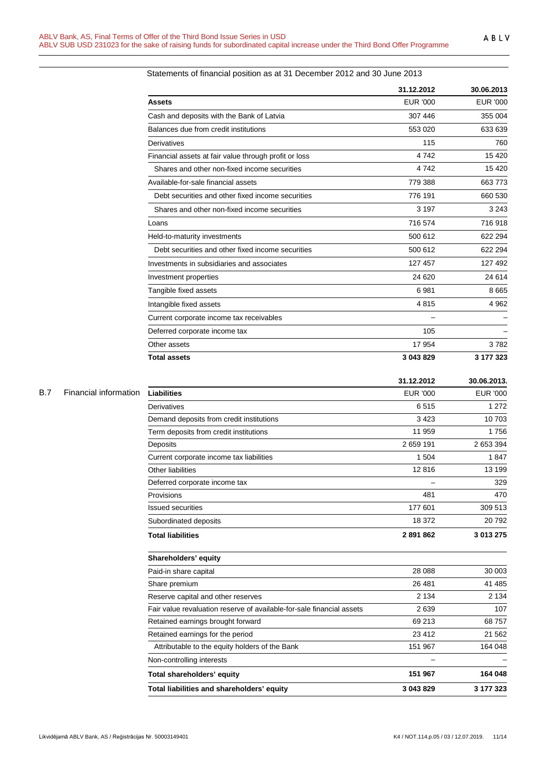|                                                       | 31.12.2012 | 30.06.2013      |
|-------------------------------------------------------|------------|-----------------|
| <b>Assets</b>                                         | EUR '000   | <b>EUR '000</b> |
| Cash and deposits with the Bank of Latvia             | 307 446    | 355 004         |
| Balances due from credit institutions                 | 553 020    | 633 639         |
| Derivatives                                           | 115        | 760             |
| Financial assets at fair value through profit or loss | 4742       | 15 4 20         |
| Shares and other non-fixed income securities          | 4742       | 15 4 20         |
| Available-for-sale financial assets                   | 779 388    | 663 773         |
| Debt securities and other fixed income securities     | 776 191    | 660 530         |
| Shares and other non-fixed income securities          | 3 1 9 7    | 3 2 4 3         |
| Loans                                                 | 716 574    | 716 918         |
| Held-to-maturity investments                          | 500 612    | 622 294         |
| Debt securities and other fixed income securities     | 500 612    | 622 294         |
| Investments in subsidiaries and associates            | 127 457    | 127 492         |
| Investment properties                                 | 24 620     | 24 614          |
| Tangible fixed assets                                 | 6981       | 8665            |
| Intangible fixed assets                               | 4815       | 4 9 6 2         |
| Current corporate income tax receivables              |            |                 |
| Deferred corporate income tax                         | 105        |                 |
| Other assets                                          | 17 954     | 3782            |
| <b>Total assets</b>                                   | 3 043 829  | 3 177 323       |

## Statements of financial position as at 31 December 2012 and 30 June 2013

| B.7 |  | Financial information |  |
|-----|--|-----------------------|--|
|-----|--|-----------------------|--|

|                                                                       | 31.12.2012      | 30.06.2013.     |
|-----------------------------------------------------------------------|-----------------|-----------------|
| <b>Liabilities</b>                                                    | <b>EUR '000</b> | <b>EUR '000</b> |
| Derivatives                                                           | 6515            | 1 2 7 2         |
| Demand deposits from credit institutions                              | 3 4 2 3         | 10 703          |
| Term deposits from credit institutions                                | 11 959          | 1756            |
| Deposits                                                              | 2 659 191       | 2 653 394       |
| Current corporate income tax liabilities                              | 1 504           | 1847            |
| Other liabilities                                                     | 12816           | 13 199          |
| Deferred corporate income tax                                         |                 | 329             |
| Provisions                                                            | 481             | 470             |
| <b>Issued securities</b>                                              | 177 601         | 309 513         |
| Subordinated deposits                                                 | 18 372          | 20792           |
| <b>Total liabilities</b>                                              | 2891862         | 3 013 275       |
| Shareholders' equity                                                  |                 |                 |
| Paid-in share capital                                                 | 28 088          | 30 003          |
| Share premium                                                         | 26 481          | 41 485          |
| Reserve capital and other reserves                                    | 2 1 3 4         | 2 1 3 4         |
| Fair value revaluation reserve of available-for-sale financial assets | 2639            | 107             |
| Retained earnings brought forward                                     | 69 213          | 68 757          |
| Retained earnings for the period                                      | 23 4 12         | 21 5 6 2        |
| Attributable to the equity holders of the Bank                        | 151 967         | 164 048         |
| Non-controlling interests                                             |                 |                 |
| Total shareholders' equity                                            | 151 967         | 164 048         |
| Total liabilities and shareholders' equity                            | 3 043 829       | 3 177 323       |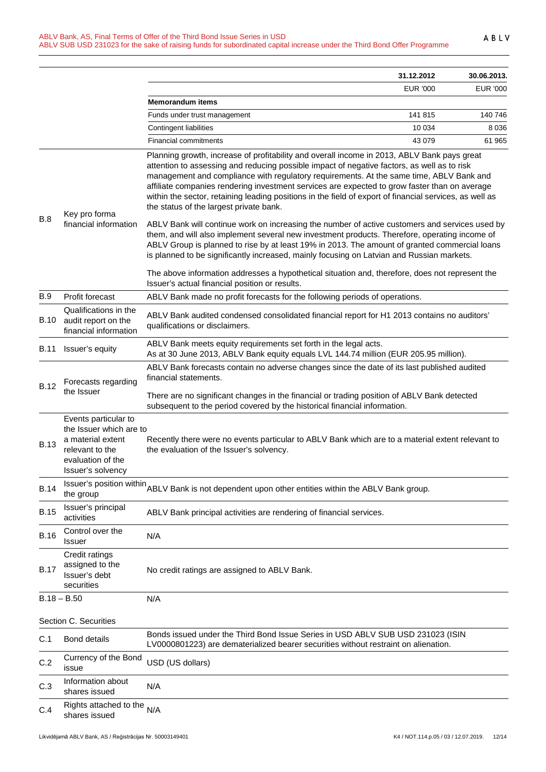|             |                                                                                                                                   |                                                                                                                                                                                                                                                                                                                                                                                                                                                                                                                                                                                                                                                                                                                                                                                                                                                                                                                                                                                                                                                  | 31.12.2012      | 30.06.2013. |
|-------------|-----------------------------------------------------------------------------------------------------------------------------------|--------------------------------------------------------------------------------------------------------------------------------------------------------------------------------------------------------------------------------------------------------------------------------------------------------------------------------------------------------------------------------------------------------------------------------------------------------------------------------------------------------------------------------------------------------------------------------------------------------------------------------------------------------------------------------------------------------------------------------------------------------------------------------------------------------------------------------------------------------------------------------------------------------------------------------------------------------------------------------------------------------------------------------------------------|-----------------|-------------|
|             |                                                                                                                                   |                                                                                                                                                                                                                                                                                                                                                                                                                                                                                                                                                                                                                                                                                                                                                                                                                                                                                                                                                                                                                                                  | <b>EUR '000</b> | EUR '000    |
|             |                                                                                                                                   | Memorandum items                                                                                                                                                                                                                                                                                                                                                                                                                                                                                                                                                                                                                                                                                                                                                                                                                                                                                                                                                                                                                                 |                 |             |
|             |                                                                                                                                   | Funds under trust management                                                                                                                                                                                                                                                                                                                                                                                                                                                                                                                                                                                                                                                                                                                                                                                                                                                                                                                                                                                                                     | 141 815         | 140 746     |
|             |                                                                                                                                   | Contingent liabilities                                                                                                                                                                                                                                                                                                                                                                                                                                                                                                                                                                                                                                                                                                                                                                                                                                                                                                                                                                                                                           | 10 0 34         | 8 0 3 6     |
|             |                                                                                                                                   | <b>Financial commitments</b>                                                                                                                                                                                                                                                                                                                                                                                                                                                                                                                                                                                                                                                                                                                                                                                                                                                                                                                                                                                                                     | 43 0 79         | 61 965      |
| B.8         | Key pro forma<br>financial information                                                                                            | Planning growth, increase of profitability and overall income in 2013, ABLV Bank pays great<br>attention to assessing and reducing possible impact of negative factors, as well as to risk<br>management and compliance with regulatory requirements. At the same time, ABLV Bank and<br>affiliate companies rendering investment services are expected to grow faster than on average<br>within the sector, retaining leading positions in the field of export of financial services, as well as<br>the status of the largest private bank.<br>ABLV Bank will continue work on increasing the number of active customers and services used by<br>them, and will also implement several new investment products. Therefore, operating income of<br>ABLV Group is planned to rise by at least 19% in 2013. The amount of granted commercial loans<br>is planned to be significantly increased, mainly focusing on Latvian and Russian markets.<br>The above information addresses a hypothetical situation and, therefore, does not represent the |                 |             |
|             |                                                                                                                                   | Issuer's actual financial position or results.                                                                                                                                                                                                                                                                                                                                                                                                                                                                                                                                                                                                                                                                                                                                                                                                                                                                                                                                                                                                   |                 |             |
| <b>B.9</b>  | Profit forecast                                                                                                                   | ABLV Bank made no profit forecasts for the following periods of operations.                                                                                                                                                                                                                                                                                                                                                                                                                                                                                                                                                                                                                                                                                                                                                                                                                                                                                                                                                                      |                 |             |
| B.10        | Qualifications in the<br>audit report on the<br>financial information                                                             | ABLV Bank audited condensed consolidated financial report for H1 2013 contains no auditors'<br>qualifications or disclaimers.                                                                                                                                                                                                                                                                                                                                                                                                                                                                                                                                                                                                                                                                                                                                                                                                                                                                                                                    |                 |             |
| B.11        | Issuer's equity                                                                                                                   | ABLV Bank meets equity requirements set forth in the legal acts.<br>As at 30 June 2013, ABLV Bank equity equals LVL 144.74 million (EUR 205.95 million).                                                                                                                                                                                                                                                                                                                                                                                                                                                                                                                                                                                                                                                                                                                                                                                                                                                                                         |                 |             |
| <b>B.12</b> | Forecasts regarding<br>the Issuer                                                                                                 | ABLV Bank forecasts contain no adverse changes since the date of its last published audited<br>financial statements.                                                                                                                                                                                                                                                                                                                                                                                                                                                                                                                                                                                                                                                                                                                                                                                                                                                                                                                             |                 |             |
|             |                                                                                                                                   | There are no significant changes in the financial or trading position of ABLV Bank detected<br>subsequent to the period covered by the historical financial information.                                                                                                                                                                                                                                                                                                                                                                                                                                                                                                                                                                                                                                                                                                                                                                                                                                                                         |                 |             |
| <b>B.13</b> | Events particular to<br>the Issuer which are to<br>a material extent<br>relevant to the<br>evaluation of the<br>Issuer's solvency | Recently there were no events particular to ABLV Bank which are to a material extent relevant to<br>the evaluation of the Issuer's solvency.                                                                                                                                                                                                                                                                                                                                                                                                                                                                                                                                                                                                                                                                                                                                                                                                                                                                                                     |                 |             |
| <b>B.14</b> | the group                                                                                                                         | Issuer's position within ABLV Bank is not dependent upon other entities within the ABLV Bank group.                                                                                                                                                                                                                                                                                                                                                                                                                                                                                                                                                                                                                                                                                                                                                                                                                                                                                                                                              |                 |             |
| <b>B.15</b> | Issuer's principal<br>activities                                                                                                  | ABLV Bank principal activities are rendering of financial services.                                                                                                                                                                                                                                                                                                                                                                                                                                                                                                                                                                                                                                                                                                                                                                                                                                                                                                                                                                              |                 |             |
| <b>B.16</b> | Control over the<br>Issuer                                                                                                        | N/A                                                                                                                                                                                                                                                                                                                                                                                                                                                                                                                                                                                                                                                                                                                                                                                                                                                                                                                                                                                                                                              |                 |             |
| <b>B.17</b> | Credit ratings<br>assigned to the<br>Issuer's debt<br>securities                                                                  | No credit ratings are assigned to ABLV Bank.                                                                                                                                                                                                                                                                                                                                                                                                                                                                                                                                                                                                                                                                                                                                                                                                                                                                                                                                                                                                     |                 |             |
|             | $B.18 - B.50$                                                                                                                     | N/A                                                                                                                                                                                                                                                                                                                                                                                                                                                                                                                                                                                                                                                                                                                                                                                                                                                                                                                                                                                                                                              |                 |             |
|             | Section C. Securities                                                                                                             |                                                                                                                                                                                                                                                                                                                                                                                                                                                                                                                                                                                                                                                                                                                                                                                                                                                                                                                                                                                                                                                  |                 |             |
| C.1         | <b>Bond details</b>                                                                                                               | Bonds issued under the Third Bond Issue Series in USD ABLV SUB USD 231023 (ISIN<br>LV0000801223) are dematerialized bearer securities without restraint on alienation.                                                                                                                                                                                                                                                                                                                                                                                                                                                                                                                                                                                                                                                                                                                                                                                                                                                                           |                 |             |
| C.2         | Currency of the Bond<br>issue                                                                                                     | USD (US dollars)                                                                                                                                                                                                                                                                                                                                                                                                                                                                                                                                                                                                                                                                                                                                                                                                                                                                                                                                                                                                                                 |                 |             |
| C.3         | Information about<br>shares issued                                                                                                | N/A                                                                                                                                                                                                                                                                                                                                                                                                                                                                                                                                                                                                                                                                                                                                                                                                                                                                                                                                                                                                                                              |                 |             |
| C.4         | Rights attached to the<br>shares issued                                                                                           | N/A                                                                                                                                                                                                                                                                                                                                                                                                                                                                                                                                                                                                                                                                                                                                                                                                                                                                                                                                                                                                                                              |                 |             |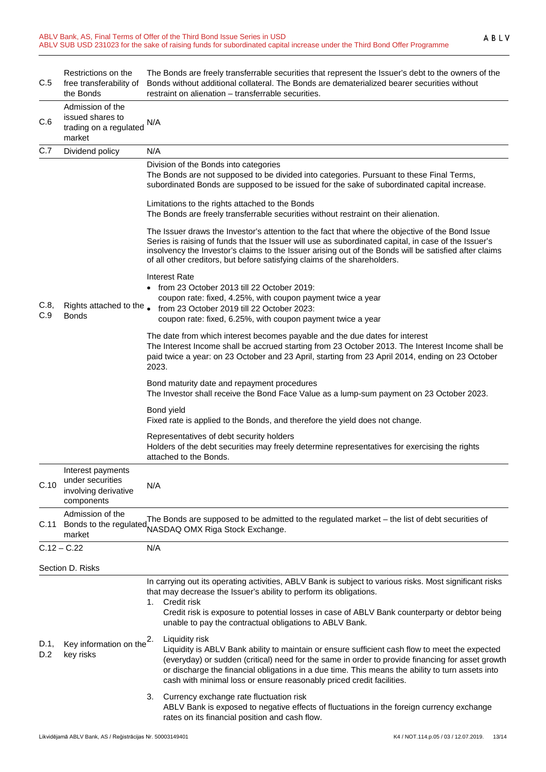| C.5         | Restrictions on the<br>free transferability of<br>the Bonds                 | The Bonds are freely transferrable securities that represent the Issuer's debt to the owners of the<br>Bonds without additional collateral. The Bonds are dematerialized bearer securities without<br>restraint on alienation - transferrable securities.                                                                                                                                         |  |
|-------------|-----------------------------------------------------------------------------|---------------------------------------------------------------------------------------------------------------------------------------------------------------------------------------------------------------------------------------------------------------------------------------------------------------------------------------------------------------------------------------------------|--|
| C.6         | Admission of the<br>issued shares to<br>trading on a regulated<br>market    | N/A                                                                                                                                                                                                                                                                                                                                                                                               |  |
| C.7         | Dividend policy                                                             | N/A                                                                                                                                                                                                                                                                                                                                                                                               |  |
|             |                                                                             | Division of the Bonds into categories<br>The Bonds are not supposed to be divided into categories. Pursuant to these Final Terms,<br>subordinated Bonds are supposed to be issued for the sake of subordinated capital increase.                                                                                                                                                                  |  |
| C.8,<br>C.9 | Rights attached to the .<br><b>Bonds</b>                                    | Limitations to the rights attached to the Bonds<br>The Bonds are freely transferrable securities without restraint on their alienation.                                                                                                                                                                                                                                                           |  |
|             |                                                                             | The Issuer draws the Investor's attention to the fact that where the objective of the Bond Issue<br>Series is raising of funds that the Issuer will use as subordinated capital, in case of the Issuer's<br>insolvency the Investor's claims to the Issuer arising out of the Bonds will be satisfied after claims<br>of all other creditors, but before satisfying claims of the shareholders.   |  |
|             |                                                                             | <b>Interest Rate</b><br>• from 23 October 2013 till 22 October 2019:<br>coupon rate: fixed, 4.25%, with coupon payment twice a year<br>from 23 October 2019 till 22 October 2023:<br>coupon rate: fixed, 6.25%, with coupon payment twice a year                                                                                                                                                  |  |
|             |                                                                             | The date from which interest becomes payable and the due dates for interest<br>The Interest Income shall be accrued starting from 23 October 2013. The Interest Income shall be<br>paid twice a year: on 23 October and 23 April, starting from 23 April 2014, ending on 23 October<br>2023.                                                                                                      |  |
|             |                                                                             | Bond maturity date and repayment procedures<br>The Investor shall receive the Bond Face Value as a lump-sum payment on 23 October 2023.                                                                                                                                                                                                                                                           |  |
|             |                                                                             | Bond yield<br>Fixed rate is applied to the Bonds, and therefore the yield does not change.                                                                                                                                                                                                                                                                                                        |  |
|             |                                                                             | Representatives of debt security holders<br>Holders of the debt securities may freely determine representatives for exercising the rights<br>attached to the Bonds.                                                                                                                                                                                                                               |  |
| C.10        | Interest payments<br>under securities<br>involving derivative<br>components | N/A                                                                                                                                                                                                                                                                                                                                                                                               |  |
|             | Admission of the<br>C.11 Bonds to the regulated<br>market                   | The Bonds are supposed to be admitted to the regulated market - the list of debt securities of<br>NASDAQ OMX Riga Stock Exchange.                                                                                                                                                                                                                                                                 |  |
|             | $C.12 - C.22$                                                               | N/A                                                                                                                                                                                                                                                                                                                                                                                               |  |
|             | Section D. Risks                                                            |                                                                                                                                                                                                                                                                                                                                                                                                   |  |
|             |                                                                             | In carrying out its operating activities, ABLV Bank is subject to various risks. Most significant risks<br>that may decrease the Issuer's ability to perform its obligations.                                                                                                                                                                                                                     |  |
|             |                                                                             | Credit risk<br>1.<br>Credit risk is exposure to potential losses in case of ABLV Bank counterparty or debtor being<br>unable to pay the contractual obligations to ABLV Bank.                                                                                                                                                                                                                     |  |
| D.1,<br>D.2 | Key information on the $2$ .<br>key risks                                   | Liquidity risk<br>Liquidity is ABLV Bank ability to maintain or ensure sufficient cash flow to meet the expected<br>(everyday) or sudden (critical) need for the same in order to provide financing for asset growth<br>or discharge the financial obligations in a due time. This means the ability to turn assets into<br>cash with minimal loss or ensure reasonably priced credit facilities. |  |
|             |                                                                             | Currency exchange rate fluctuation risk<br>3.<br>ABLV Bank is exposed to negative effects of fluctuations in the foreign currency exchange<br>rates on its financial position and cash flow.                                                                                                                                                                                                      |  |